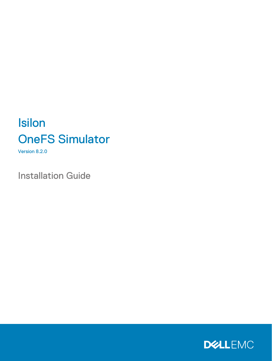# Isilon OneFS Simulator

Version 8.2.0

Installation Guide

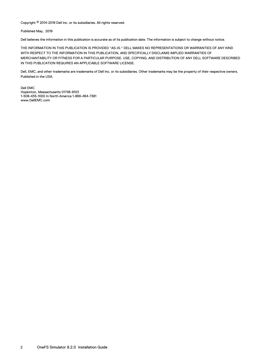Copyright © 2014-2019 Dell Inc. or its subsidiaries. All rights reserved.

Published May, 2019

Dell believes the information in this publication is accurate as of its publication date. The information is subject to change without notice.

THE INFORMATION IN THIS PUBLICATION IS PROVIDED "AS-IS." DELL MAKES NO REPRESENTATIONS OR WARRANTIES OF ANY KIND WITH RESPECT TO THE INFORMATION IN THIS PUBLICATION, AND SPECIFICALLY DISCLAIMS IMPLIED WARRANTIES OF MERCHANTABILITY OR FITNESS FOR A PARTICULAR PURPOSE. USE, COPYING, AND DISTRIBUTION OF ANY DELL SOFTWARE DESCRIBED IN THIS PUBLICATION REQUIRES AN APPLICABLE SOFTWARE LICENSE.

Dell, EMC, and other trademarks are trademarks of Dell Inc. or its subsidiaries. Other trademarks may be the property of their respective owners. Published in the USA.

Dell EMC Hopkinton, Massachusetts 01748-9103 1-508-435-1000 In North America 1-866-464-7381 www.DellEMC.com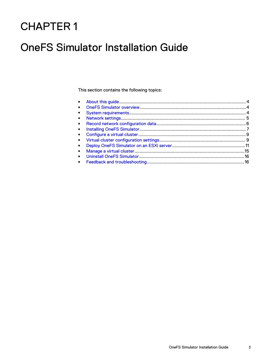## CHAPTER 1

## OneFS Simulator Installation Guide

This section contains the following topics:

| $\bullet$ |  |
|-----------|--|
| $\bullet$ |  |
|           |  |
| $\bullet$ |  |
|           |  |
|           |  |
|           |  |
|           |  |
|           |  |
|           |  |
|           |  |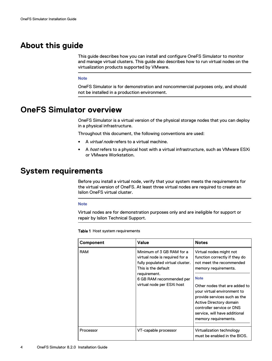### <span id="page-3-0"></span>**About this guide**

This guide describes how you can install and configure OneFS Simulator to monitor and manage virtual clusters. This guide also describes how to run virtual nodes on the virtualization products supported by VMware.

#### **Note**

OneFS Simulator is for demonstration and noncommercial purposes only, and should not be installed in a production environment.

### **OneFS Simulator overview**

OneFS Simulator is a virtual version of the physical storage nodes that you can deploy in a physical infrastructure.

Throughout this document, the following conventions are used:

- A *virtual node* refers to a virtual machine.
- A *host* refers to a physical host with a virtual infrastructure, such as VMware ESXi or VMware Workstation.

### **System requirements**

Before you install a virtual node, verify that your system meets the requirements for the virtual version of OneFS. At least three virtual nodes are required to create an Isilon OneFS virtual cluster.

#### **Note**

Virtual nodes are for demonstration purposes only and are ineligible for support or repair by Isilon Technical Support.

Table 1 Host system requirements

| Component  | Value                                                                                                                                                                                            | <b>Notes</b>                                                                                                                                                                                                                                                                                                                                 |
|------------|--------------------------------------------------------------------------------------------------------------------------------------------------------------------------------------------------|----------------------------------------------------------------------------------------------------------------------------------------------------------------------------------------------------------------------------------------------------------------------------------------------------------------------------------------------|
| <b>RAM</b> | Minimum of 3 GB RAM for a<br>virtual node is required for a<br>fully populated virtual cluster.<br>This is the default<br>requirement.<br>6 GB RAM recommended per<br>virtual node per ESXi host | Virtual nodes might not<br>function correctly if they do<br>not meet the recommended<br>memory requirements.<br><b>Note</b><br>Other nodes that are added to<br>your virtual environment to<br>provide services such as the<br>Active Directory domain<br>controller service or DNS<br>service, will have additional<br>memory requirements. |
| Processor  | VT-capable processor                                                                                                                                                                             | Virtualization technology<br>must be enabled in the BIOS.                                                                                                                                                                                                                                                                                    |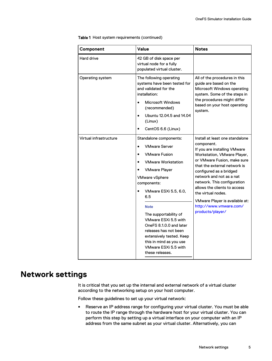| Component              | Value                                                                                                                                                                                                                                                                                                                                                                                                                                               | <b>Notes</b>                                                                                                                                                                                                                                                                                                                                                                                            |
|------------------------|-----------------------------------------------------------------------------------------------------------------------------------------------------------------------------------------------------------------------------------------------------------------------------------------------------------------------------------------------------------------------------------------------------------------------------------------------------|---------------------------------------------------------------------------------------------------------------------------------------------------------------------------------------------------------------------------------------------------------------------------------------------------------------------------------------------------------------------------------------------------------|
| Hard drive             | 42 GB of disk space per<br>virtual node for a fully<br>populated virtual cluster.                                                                                                                                                                                                                                                                                                                                                                   |                                                                                                                                                                                                                                                                                                                                                                                                         |
| Operating system       | The following operating<br>systems have been tested for<br>and validated for the<br>installation:<br><b>Microsoft Windows</b><br>$\bullet$<br>(recommended)<br>Ubuntu 12,04.5 and 14,04<br>$\bullet$<br>(Linux)<br>CentOS 6.6 (Linux)                                                                                                                                                                                                               | All of the procedures in this<br>guide are based on the<br>Microsoft Windows operating<br>system. Some of the steps in<br>the procedures might differ<br>based on your host operating<br>system.                                                                                                                                                                                                        |
| Virtual infrastructure | Standalone components:<br><b>VMware Server</b><br>$\bullet$<br><b>VMware Fusion</b><br>$\bullet$<br><b>VMware Workstation</b><br><b>VMware Player</b><br><b>VMware vSphere</b><br>components:<br>VMware ESXi 5.5, 6.0,<br>6.5<br><b>Note</b><br>The supportability of<br>VMware ESXi 5.5 with<br>OneFS 8.1.0.0 and later<br>releases has not been<br>extensively tested. Keep<br>this in mind as you use<br>VMware ESXi 5.5 with<br>these releases. | Install at least one standalone<br>component.<br>If you are installing VMware<br>Workstation, VMware Player,<br>or VMware Fusion, make sure<br>that the external network is<br>configured as a bridged<br>network and not as a nat<br>network. This configuration<br>allows the clients to access<br>the virtual nodes.<br>VMware Player is available at:<br>http://www.vmware.com/<br>products/player/ |

<span id="page-4-0"></span>Table 1 Host system requirements (continued)

### **Network settings**

It is critical that you set up the internal and external network of a virtual cluster according to the networking setup on your host computer.

Follow these guidelines to set up your virtual network:

• Reserve an IP address range for configuring your virtual cluster. You must be able to route the IP range through the hardware host for your virtual cluster. You can perform this step by setting up a virtual interface on your computer with an IP address from the same subnet as your virtual cluster. Alternatively, you can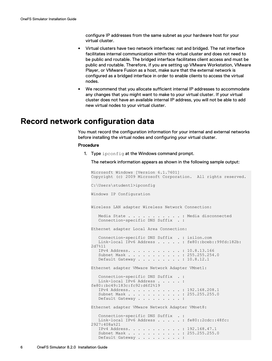configure IP addresses from the same subnet as your hardware host for your virtual cluster.

- <span id="page-5-0"></span>• Virtual clusters have two network interfaces: nat and bridged. The nat interface facilitates internal communication within the virtual cluster and does not need to be public and routable. The bridged interface facilitates client access and must be public and routable. Therefore, if you are setting up VMware Workstation, VMware Player, or VMware Fusion as a host, make sure that the external network is configured as a bridged interface in order to enable clients to access the virtual nodes.
- <sup>l</sup> We recommend that you allocate sufficient internal IP addresses to accommodate any changes that you might want to make to your virtual cluster. If your virtual cluster does not have an available internal IP address, you will not be able to add new virtual nodes to your virtual cluster.

### **Record network configuration data**

You must record the configuration information for your internal and external networks before installing the virtual nodes and configuring your virtual cluster.

#### Procedure

1. Type ipconfig at the Windows command prompt.

The network information appears as shown in the following sample output:

```
Microsoft Windows [Version 6.1.7601]
Copyright (c) 2009 Microsoft Corporation. All rights reserved.
C:\Users\student1>ipconfig
Windows IP Configuration
Wireless LAN adapter Wireless Network Connection:
   Media State . . . . . . . . . . . : Media disconnected
   Connection-specific DNS Suffix . : 
Ethernet adapter Local Area Connection:
   Connection-specific DNS Suffix . : isilon.com
   Link-local IPv6 Address . . . . . : fe80::bceb::99fd:182b:
2d7%11
   IPv4 Address. . . . . . . . . . . : 10.8.13.166
    Subnet Mask . . . . . . . . . . . : 255.255.254.0
  Default Gateway . . . . . . . . . : 10.8.12.1
Ethernet adapter VMware Network Adapter VMnet1:
   Connection-specific DNS Suffix . :
   Link-local IPv6 Address . . . . . : 
fe80::bc49:183c:fc92:d6f2%19
   IPv4 Address. . . . . . . . . . . : 192.168.208.1
   Subnet Mask . . . . . . . . . . . : 255.255.255.0
  Default Gateway . . . . . . . . :
Ethernet adapter VMware Network Adapter VMnet8:
   Connection-specific DNS Suffix . :
   Link-local IPv6 Address . . . . . : fe80::2cdc::48fc:
2927:408a%21
   IPv4 Address. . . . . . . . . . . : 192.168.47.1
   Subnet Mask . . . . . . . . . . . : 255.255.255.0
  Default Gateway . . . . . . . . :
```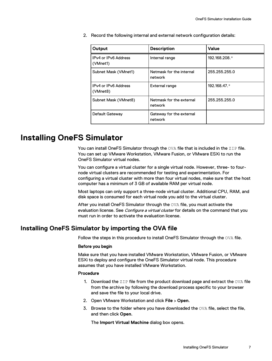<span id="page-6-0"></span>2. Record the following internal and external network configuration details:

| Output                           | <b>Description</b>                  | Value         |
|----------------------------------|-------------------------------------|---------------|
| IPv4 or IPv6 Address<br>(VMnet1) | Internal range                      | 192.168.208.* |
| Subnet Mask (VMnet1)             | Netmask for the internal<br>network | 255.255.255.0 |
| IPv4 or IPv6 Address<br>(VMnet8) | External range                      | 192.168.47.*  |
| Subnet Mask (VMnet8)             | Netmask for the external<br>network | 255.255.255.0 |
| Default Gateway                  | Gateway for the external<br>network |               |

### **Installing OneFS Simulator**

You can install OneFS Simulator through the OVA file that is included in the ZIP file. You can set up VMware Workstation, VMware Fusion, or VMware ESXi to run the OneFS Simulator virtual nodes.

You can configure a virtual cluster for a single virtual node. However, three- to fournode virtual clusters are recommended for testing and experimentation. For configuring a virtual cluster with more than four virtual nodes, make sure that the host computer has a minimum of 3 GB of available RAM per virtual node.

Most laptops can only support a three-node virtual cluster. Additional CPU, RAM, and disk space is consumed for each virtual node you add to the virtual cluster.

After you install OneFS Simulator through the OVA file, you must activate the evaluation license. See *Configure a virtual cluster* for details on the command that you must run in order to activate the evaluation license.

### **Installing OneFS Simulator by importing the OVA file**

Follow the steps in this procedure to install OneFS Simulator through the OVA file.

#### Before you begin

Make sure that you have installed VMware Workstation, VMware Fusion, or VMware ESXi to deploy and configure the OneFS Simulator virtual node. This procedure assumes that you have installed VMware Workstation.

### Procedure

- 1. Download the  $\text{ZIP}$  file from the product download page and extract the  $\text{OVA}}$  file from the archive by following the download process specific to your browser and save the file to your local drive.
- 2. Open VMware Workstation and click **File** > **Open**.
- 3. Browse to the folder where you have downloaded the  $OVA$  file, select the file, and then click **Open**.

The **Import Virtual Machine** dialog box opens.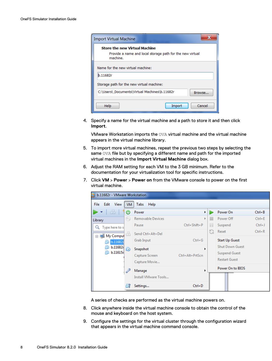| <b>Import Virtual Machine</b>                                                                                 |
|---------------------------------------------------------------------------------------------------------------|
| <b>Store the new Virtual Machine</b><br>Provide a name and local storage path for the new virtual<br>machine. |
| Name for the new virtual machine:<br>b.11682r                                                                 |
| Storage path for the new virtual machine:                                                                     |
| C:\Users\ Documents\Virtual Machines\b.11682r<br>Browse                                                       |
| Cancel<br>Help<br>Import                                                                                      |

4. Specify a name for the virtual machine and a path to store it and then click **Import**.

VMware Workstation imports the OVA virtual machine and the virtual machine appears in the virtual machine library.

- 5. To import more virtual machines, repeat the previous two steps by selecting the same OVA file but by specifying a different name and path for the imported virtual machines in the **Import Virtual Machine** dialog box.
- 6. Adjust the RAM setting for each VM to the 3 GB minimum. Refer to the documentation for your virtualization tool for specific instructions.
- 7. Click **VM** > **Power** > **Power on** from the VMware console to power on the first virtual machine.



A series of checks are performed as the virtual machine powers on.

- 8. Click anywhere inside the virtual machine console to obtain the control of the mouse and keyboard on the host system.
- 9. Configure the settings for the virtual cluster through the configuration wizard that appears in the virtual machine command console.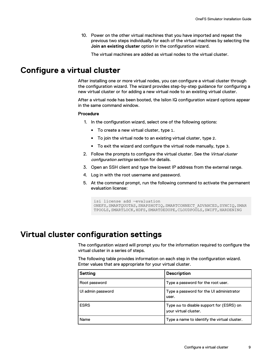10. Power on the other virtual machines that you have imported and repeat the previous two steps individually for each of the virtual machines by selecting the **Join an existing cluster** option in the configuration wizard.

The virtual machines are added as virtual nodes to the virtual cluster.

### <span id="page-8-0"></span>**Configure a virtual cluster**

After installing one or more virtual nodes, you can configure a virtual cluster through the configuration wizard. The wizard provides step-by-step guidance for configuring a new virtual cluster or for adding a new virtual node to an existing virtual cluster.

After a virtual node has been booted, the Isilon IQ configuration wizard options appear in the same command window.

#### Procedure

- 1. In the configuration wizard, select one of the following options:
	- <sup>l</sup> To create a new virtual cluster, type **1**.
	- <sup>l</sup> To join the virtual node to an existing virtual cluster, type **2**.
	- <sup>l</sup> To exit the wizard and configure the virtual node manually, type **3**.
- 2. Follow the prompts to configure the virtual cluster. See the Virtual cluster configuration settings section for details.
- 3. Open an SSH client and type the lowest IP address from the external range.
- 4. Log in with the root username and password.
- 5. At the command prompt, run the following command to activate the permanent evaluation license:

```
isi license add —evaluation 
ONEFS, SMARTQUOTAS, SNAPSHOTIQ, SMARTCONNECT ADVANCED, SYNCIQ, SMAR
TPOOLS, SMARTLOCK, HDFS, SMARTDEDUPE, CLOUDPOOLS, SWIFT, HARDENING
```
### **Virtual cluster configuration settings**

The configuration wizard will prompt you for the information required to configure the virtual cluster in a series of steps.

The following table provides information on each step in the configuration wizard. Enter values that are appropriate for your virtual cluster.

| <b>Setting</b>                                      | <b>Description</b>                                                |  |
|-----------------------------------------------------|-------------------------------------------------------------------|--|
| Type a password for the root user.<br>Root password |                                                                   |  |
| UI admin password                                   | Type a password for the UI administrator<br>user.                 |  |
| <b>ESRS</b>                                         | Type no to disable support for (ESRS) on<br>your virtual cluster. |  |
| Name                                                | Type a name to identify the virtual cluster.                      |  |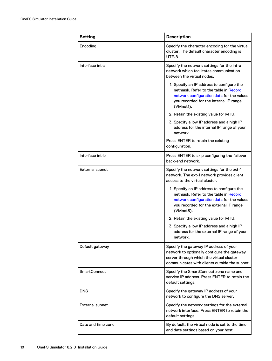| <b>Setting</b>         | <b>Description</b>                                                                                                                                                                     |
|------------------------|----------------------------------------------------------------------------------------------------------------------------------------------------------------------------------------|
| Encoding               | Specify the character encoding for the virtual<br>cluster. The default character encoding is<br>UTF-8.                                                                                 |
| Interface int-a        | Specify the network settings for the int-a<br>network which facilitates communication<br>between the virtual nodes.                                                                    |
|                        | 1. Specify an IP address to configure the<br>netmask. Refer to the table in Record<br>network configuration data for the values<br>you recorded for the internal IP range<br>(VMnet1). |
|                        | 2. Retain the existing value for MTU.                                                                                                                                                  |
|                        | 3. Specify a low IP address and a high IP<br>address for the internal IP range of your<br>network.                                                                                     |
|                        | Press ENTER to retain the existing<br>configuration.                                                                                                                                   |
| Interface int-b        | Press ENTER to skip configuring the failover<br>back-end network.                                                                                                                      |
| <b>External subnet</b> | Specify the network settings for the ext-1<br>network. The ext-1 network provides client<br>access to the virtual cluster.                                                             |
|                        | 1. Specify an IP address to configure the<br>netmask. Refer to the table in Record<br>network configuration data for the values<br>you recorded for the external IP range<br>(VMnet8). |
|                        | 2. Retain the existing value for MTU.                                                                                                                                                  |
|                        | 3. Specify a low IP address and a high IP<br>address for the external IP range of your<br>network.                                                                                     |
| Default gateway        | Specify the gateway IP address of your<br>network to optionally configure the gateway<br>server through which the virtual cluster<br>communicates with clients outside the subnet.     |
| SmartConnect           | Specify the SmartConnect zone name and<br>service IP address. Press ENTER to retain the<br>default settings.                                                                           |
| <b>DNS</b>             | Specify the gateway IP address of your<br>network to configure the DNS server.                                                                                                         |
| <b>External subnet</b> | Specify the network settings for the external<br>network interface. Press ENTER to retain the<br>default settings.                                                                     |
| Date and time zone     | By default, the virtual node is set to the time<br>and date settings based on your host                                                                                                |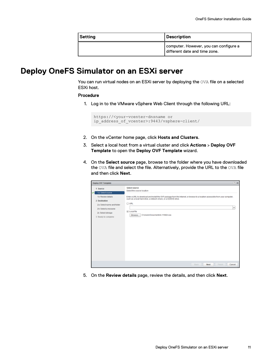| Setting | <b>Description</b>                                                      |  |
|---------|-------------------------------------------------------------------------|--|
|         | computer. However, you can configure a<br>different date and time zone. |  |

### <span id="page-10-0"></span>**Deploy OneFS Simulator on an ESXi server**

You can run virtual nodes on an ESXi server by deploying the OVA file on a selected ESXi host.

#### Procedure

1. Log in to the VMware vSphere Web Client through the following URL:

```
https://<your-vcenter-dnsname or
ip_address_of_vcenter>:9443/vsphere-client/
```
- 2. On the vCenter home page, click **Hosts and Clusters**.
- 3. Select a local host from a virtual cluster and click **Actions** > **Deploy OVF Template** to open the **Deploy OVF Template** wizard.
- 4. On the **Select source** page, browse to the folder where you have downloaded the OVA file and select the file. Alternatively, provide the URL to the OVA file and then click **Next**.

| Deploy OVF Template                                                                                                                                                 |                                                                                                                                                                                                                                                                                                                             | $(2)$ 19 |
|---------------------------------------------------------------------------------------------------------------------------------------------------------------------|-----------------------------------------------------------------------------------------------------------------------------------------------------------------------------------------------------------------------------------------------------------------------------------------------------------------------------|----------|
| 1 Source<br>1a Select source<br>15 Review details<br>2 Destination<br>2a Select name and folder<br>2b Select a resource<br>2c Select storage<br>3 Ready to complete | Select source<br>Select the source location<br>Enter a URL to download and install the OVF package from the Internet, or browse to a location accessible from your computer,<br>such as a local hard drive, a network share, or a CO/DVD drive.<br>OURL<br><b>D</b> Local file<br>C'iUsers\Documents\b.116221.oux<br>Browse | $\star$  |
|                                                                                                                                                                     | Finish<br><b>Back</b><br>Next                                                                                                                                                                                                                                                                                               | Cancel   |

5. On the **Review details** page, review the details, and then click **Next**.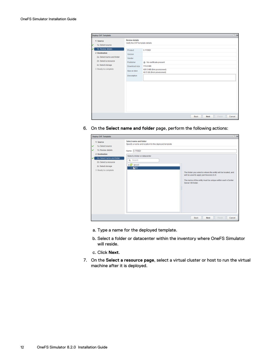| Deploy OVF Template                                              |                                                                     |                                                                       | $(7)$ 10                        |
|------------------------------------------------------------------|---------------------------------------------------------------------|-----------------------------------------------------------------------|---------------------------------|
| 1 Source<br>v<br>1a Select source<br>15 Review details           | <b>Review details</b><br>Verify the OVF template details<br>Product | b.11682r                                                              |                                 |
| 2 Destination<br>2a Selectname and folder                        | <b>Version</b><br>Vendor                                            |                                                                       |                                 |
| 2b Select a resource<br>2c Select storage<br>3 Ready to complete | Publisher<br>Dewnload size                                          | (8) No certificate present<br>174.0 MB<br>420.3 MB (thin provisioned) |                                 |
|                                                                  | Size on disk<br>Description                                         | 40.5 GB (thick provisioned)                                           |                                 |
|                                                                  |                                                                     |                                                                       |                                 |
|                                                                  |                                                                     |                                                                       |                                 |
|                                                                  |                                                                     |                                                                       |                                 |
|                                                                  |                                                                     | <b>Back</b>                                                           | Finish<br>Cancel<br><b>Next</b> |

6. On the **Select name and folder** page, perform the following actions:

| $(2)$ He<br>Deploy OVF Template                                                                                                                                                               |                                                                                                                                                                                   |                                                                                                                                                                                              |
|-----------------------------------------------------------------------------------------------------------------------------------------------------------------------------------------------|-----------------------------------------------------------------------------------------------------------------------------------------------------------------------------------|----------------------------------------------------------------------------------------------------------------------------------------------------------------------------------------------|
| 1 Source<br>1a Select source<br>v<br>1b Review details<br>v<br>2 Destination<br>2a Select name and folder<br>$\checkmark$<br>2b Select a resource<br>2c Select storage<br>3 Ready to complete | Select name and folder<br>Specify a name and location for the deployed template<br>Name: 0.11682r<br>Select a folder or datacenter<br>Q Search<br>-@eves<br>$\triangleright$ Lipc | The folder you select is where the entity will be located, and<br>will be used to apply permissions to it.<br>The name of the entity must be unique within each yCenter<br>Server VM folder. |
|                                                                                                                                                                                               |                                                                                                                                                                                   | Mext<br>Back<br>Finish<br>Cancel                                                                                                                                                             |

- a. Type a name for the deployed template.
- b. Select a folder or datacenter within the inventory where OneFS Simulator will reside.
- c. Click **Next**.
- 7. On the **Select a resource page**, select a virtual cluster or host to run the virtual machine after it is deployed.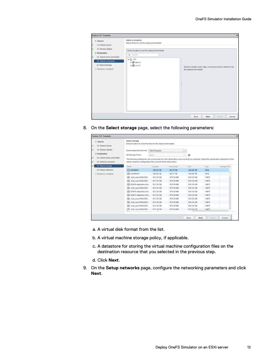| Deploy OVF Template                                                                                                                                                 | $(2)$ He                                                                                                                                                                                                                                                           |
|---------------------------------------------------------------------------------------------------------------------------------------------------------------------|--------------------------------------------------------------------------------------------------------------------------------------------------------------------------------------------------------------------------------------------------------------------|
| 1 Source<br>1a Select source<br>1b Review details<br>2 Destination<br>2a Select name and folder<br>2b Select a resource<br>2c Select storage<br>3 Ready to complete | Select a resource<br>Select where to run the deployed template<br>Select location to run the deployed template<br>Q Search<br>$\star \ln$ DC<br>> U deli-ct<br>> U sm-ct<br>Select a duster, host wipp, or resource pool in which to run-<br>the deployed template |
|                                                                                                                                                                     | Back<br><b>Mext</b><br>Finish<br>Cancel                                                                                                                                                                                                                            |

8. On the **Select storage** page, select the following parameters:

| 1 Source                              | Select storage<br>Select location to store the files for the deployed template                                                    |                       |             |       |           |            |                          |
|---------------------------------------|-----------------------------------------------------------------------------------------------------------------------------------|-----------------------|-------------|-------|-----------|------------|--------------------------|
| 1a Select source<br>15 Review details | Select virtual disk format                                                                                                        | <b>Thin Provision</b> |             | ٠     |           |            |                          |
| 2 Destination                         | VM Starage Policy:                                                                                                                | None                  |             | $\pi$ | $\circ$   |            |                          |
| 2a Selectname and folder              | The following datastores are accessible from the destination resource that you selected. Select the destination datastore for the |                       |             |       |           |            |                          |
| 25 Select a resource                  | virtual machine configuration files and all of the virtual disks.                                                                 |                       |             |       |           |            |                          |
| 2c Select storage                     | Name                                                                                                                              | Capacity              | Provisioned |       | Free      | Type       | Storage DRS <sup>A</sup> |
| 2d Setup networks                     | $\Box$ surahine                                                                                                                   | 193.62 TB             | 90.70 TB    |       | 102.92 TB | NFS.       |                          |
| 3 Ready to complete                   | Fill sunshined                                                                                                                    | 193.62 TB             | 90.71 TB    |       | 102.90 TB | NFS        |                          |
|                                       | hdd nas.5000c500.                                                                                                                 | 931.25 GB             | 976 00 MB   |       | 930 30 GB | <b>WFS</b> |                          |
|                                       | 目 hdd naa 5000c500                                                                                                                | 931.25 08             | 976.00 MB   |       | 930.30 GB | WIFS:      |                          |
|                                       | DI OISKS-datastore-vOn                                                                                                            | 931.25 GB             | 976.00 MB   |       | 930.30 GB | <b>WFS</b> |                          |
|                                       | 1 hdd nas.5000c500                                                                                                                | 931.25 GB             | 976.00 MB   |       | 930 30 GB | <b>WFS</b> |                          |
|                                       | Ell OfSKS-datastore-vOn                                                                                                           | 931.25 GB             | 976.00 MB   |       | 930.30 GB | <b>WFS</b> |                          |
|                                       | <b>El OISK7-datastore-vOn</b>                                                                                                     | 931.25 GB             | 976.00 MB   |       | 930.30 GB | <b>WFS</b> |                          |
|                                       | 目 hdd naa 5000c500                                                                                                                | 931.25.08             | 976.00 MB   |       | 930.30 GB | <b>WFS</b> |                          |
|                                       | T hed nas 5000c500                                                                                                                | 931.25 GB             | 976.00 MB   |       | 930 30 GB | <b>WFS</b> |                          |
|                                       | 日 .hdd_naa.5000c500                                                                                                               | 931.25 GB             | 976.00 MB   |       | 930.30 GB | <b>WFS</b> |                          |
|                                       | Ell. had naa 5000/500                                                                                                             | 931.25 CB             | 976.00 MB   |       | 938.30 CR | <b>WFS</b> | тĖ                       |

- a. A virtual disk format from the list.
- b. A virtual machine storage policy, if applicable.
- c. A datastore for storing the virtual machine configuration files on the destination resource that you selected in the previous step.
- d. Click **Next**.
- 9. On the **Setup networks** page, configure the networking parameters and click **Next**.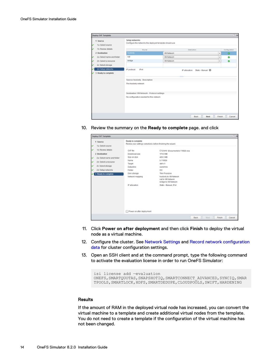|   | Deploy OVF Template          |                                                                           |                     |                                               |               | $(7)$ 10      |
|---|------------------------------|---------------------------------------------------------------------------|---------------------|-----------------------------------------------|---------------|---------------|
| v | 1 Source<br>1a Select source | Setup networks<br>Configure the networks the deployed template should use |                     |                                               |               |               |
| u | 1b Review details            | Source                                                                    |                     | <b>Destination</b>                            |               | Configuration |
|   | 2 Destination                | hostoniy.                                                                 | <b>VM Network</b>   |                                               | ٠             | ۰             |
| v | 2a Select name and folder    | nat                                                                       | <b>Will Network</b> |                                               | $\mathbf{v}$  | ۰             |
| v | 2b Select a resource         | bridge                                                                    | <b>Mil Network</b>  |                                               | $\mathbf{w}$  | ۰             |
| v | 2c Select storage            |                                                                           |                     |                                               |               |               |
|   | 2d Setus networks            | IP protocol:<br>Pel                                                       |                     | Static-Manual <sup>(1)</sup><br>P allocation: |               |               |
| ٠ | 3 Ready to complete          |                                                                           |                     |                                               |               |               |
|   |                              | Source: hostonly - Description                                            |                     |                                               |               |               |
|   |                              | The hostonly network                                                      |                     |                                               |               |               |
|   |                              | Destination: VM Network - Protocol settings                               |                     |                                               |               |               |
|   |                              | No configuration needed for this network                                  |                     |                                               |               |               |
|   |                              |                                                                           |                     |                                               |               |               |
|   |                              |                                                                           |                     |                                               |               |               |
|   |                              |                                                                           |                     | <b>Next</b><br><b>Back</b>                    | <b>Finish</b> | Cancel        |

10. Review the summary on the **Ready to complete** page. and click

| Deploy OVF Template                                                                                                                                                               |                                                                                                                                                                                 |                                                                                                                                                                                                                                     |      |       |               | $(2)$ He |
|-----------------------------------------------------------------------------------------------------------------------------------------------------------------------------------|---------------------------------------------------------------------------------------------------------------------------------------------------------------------------------|-------------------------------------------------------------------------------------------------------------------------------------------------------------------------------------------------------------------------------------|------|-------|---------------|----------|
| 1 Source<br>1a Select source<br>v                                                                                                                                                 | Ready to complete<br>Review your settings selections before finishing the wizard.                                                                                               |                                                                                                                                                                                                                                     |      |       |               |          |
| 1b Review details<br>v<br>2 Destination<br>2a Select name and folder<br>v<br>v<br>2b Select a resource<br>2c Select storage<br>v<br>2d Setup networks<br>v<br>3 Ready to complete | <b>OVF file</b><br>Download size<br>Size on disk<br>Name<br>Target<br>Detastore<br>Folder<br>Disk storage<br>Network mapping<br><b>Pallocation</b><br>Power on after deployment | CAUsers (Documents/b.11682r.ova)<br>174.0185<br>420.3 MB<br><b>5.11682Y</b><br>dell-c1<br>sunshine<br>DC.<br><b>Thin Provision</b><br>hostonly to VM Network<br>nat to VM Network.<br>bridge to VM Network<br>Static - Manual, IPv4 |      |       |               |          |
|                                                                                                                                                                                   |                                                                                                                                                                                 |                                                                                                                                                                                                                                     | Back | Moott | <b>Finish</b> | Cancel   |

- 11. Click **Power on after deployment** and then click **Finish** to deploy the virtual node as a virtual machine.
- 12. Configure the cluster. See [Network Settings](#page-8-0) and [Record network configuration](#page-5-0) [data](#page-5-0) for cluster configuration settings.
- 13. Open an SSH client and at the command prompt, type the following command to activate the evaluation license in order to run OneFS Simulator:

```
isi license add —evaluation 
ONEFS, SMARTQUOTAS, SNAPSHOTIQ, SMARTCONNECT ADVANCED, SYNCIQ, SMAR
TPOOLS,SMARTLOCK,HDFS,SMARTDEDUPE,CLOUDPOOLS,SWIFT,HARDENING
```
#### **Results**

If the amount of RAM in the deployed virtual node has increased, you can convert the virtual machine to a template and create additional virtual nodes from the template. You do not need to create a template if the configuration of the virtual machine has not been changed.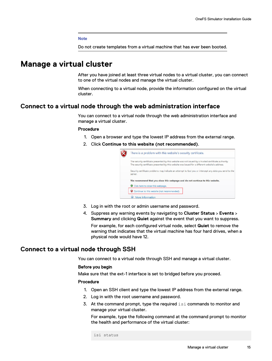#### **Note**

Do not create templates from a virtual machine that has ever been booted.

### <span id="page-14-0"></span>**Manage a virtual cluster**

After you have joined at least three virtual nodes to a virtual cluster, you can connect to one of the virtual nodes and manage the virtual cluster.

When connecting to a virtual node, provide the information configured on the virtual cluster.

### **Connect to a virtual node through the web administration interface**

You can connect to a virtual node through the web administration interface and manage a virtual cluster.

#### Procedure

- 1. Open a browser and type the lowest IP address from the external range.
- 2. Click **Continue to this website (not recommended)**.

| There is a problem with this website's security certificate.                                                                                                                                              |
|-----------------------------------------------------------------------------------------------------------------------------------------------------------------------------------------------------------|
| The security certificate presented by this website was not issued by a trusted certificate authority.<br>The security certificate presented by this website was issued for a different website's address. |
| Security certificate problems may indicate an attempt to fool you or intercept any data you send to the<br>server.                                                                                        |
| We recommend that you close this webpage and do not continue to this website.                                                                                                                             |
| Click here to close this webpage.                                                                                                                                                                         |
| Continue to this website (not recommended).                                                                                                                                                               |
| More information                                                                                                                                                                                          |

- 3. Log in with the root or admin username and password.
- 4. Suppress any warning events by navigating to **Cluster Status** > **Events** > **Summary** and clicking **Quiet** against the event that you want to suppress.

For example, for each configured virtual node, select **Quiet** to remove the warning that indicates that the virtual machine has four hard drives, when a physical node would have 12.

### **Connect to a virtual node through SSH**

You can connect to a virtual node through SSH and manage a virtual cluster.

#### Before you begin

Make sure that the ext-1 interface is set to bridged before you proceed.

#### Procedure

- 1. Open an SSH client and type the lowest IP address from the external range.
- 2. Log in with the root username and password.
- 3. At the command prompt, type the required  $\text{isi}$  commands to monitor and manage your virtual cluster.

For example, type the following command at the command prompt to monitor the health and performance of the virtual cluster:

isi status